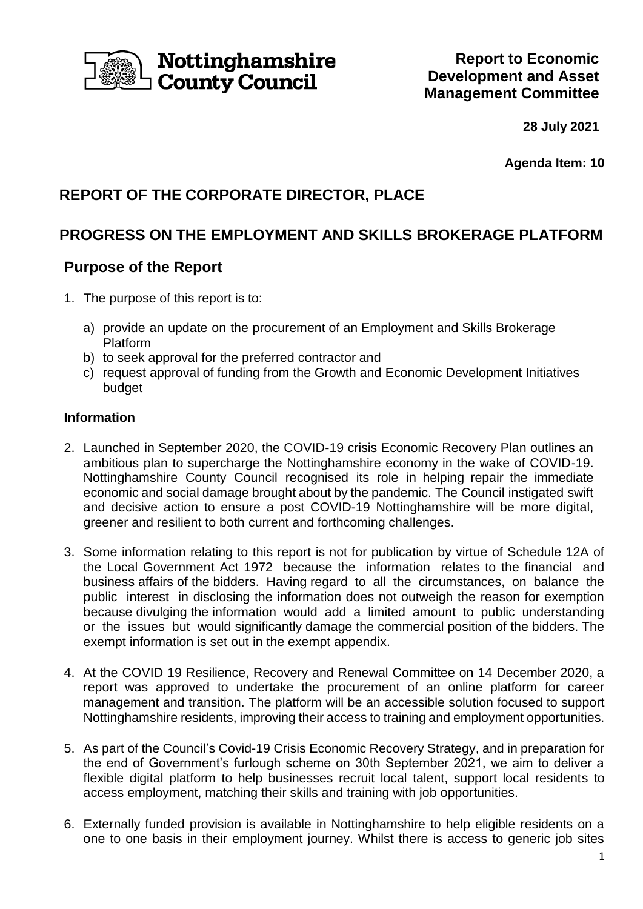

# Nottinghamshire County Council

**28 July 2021**

**Agenda Item: 10**

## **REPORT OF THE CORPORATE DIRECTOR, PLACE**

## **PROGRESS ON THE EMPLOYMENT AND SKILLS BROKERAGE PLATFORM**

### **Purpose of the Report**

- 1. The purpose of this report is to:
	- a) provide an update on the procurement of an Employment and Skills Brokerage Platform
	- b) to seek approval for the preferred contractor and
	- c) request approval of funding from the Growth and Economic Development Initiatives budget

#### **Information**

- 2. Launched in September 2020, the COVID-19 crisis Economic Recovery Plan outlines an ambitious plan to supercharge the Nottinghamshire economy in the wake of COVID-19. Nottinghamshire County Council recognised its role in helping repair the immediate economic and social damage brought about by the pandemic. The Council instigated swift and decisive action to ensure a post COVID-19 Nottinghamshire will be more digital, greener and resilient to both current and forthcoming challenges.
- 3. Some information relating to this report is not for publication by virtue of Schedule 12A of the Local Government Act 1972 because the information relates to the financial and business affairs of the bidders. Having regard to all the circumstances, on balance the public interest in disclosing the information does not outweigh the reason for exemption because divulging the information would add a limited amount to public understanding or the issues but would significantly damage the commercial position of the bidders. The exempt information is set out in the exempt appendix.
- 4. At the COVID 19 Resilience, Recovery and Renewal Committee on 14 December 2020, a report was approved to undertake the procurement of an online platform for career management and transition. The platform will be an accessible solution focused to support Nottinghamshire residents, improving their access to training and employment opportunities.
- 5. As part of the Council's Covid-19 Crisis Economic Recovery Strategy, and in preparation for the end of Government's furlough scheme on 30th September 2021, we aim to deliver a flexible digital platform to help businesses recruit local talent, support local residents to access employment, matching their skills and training with job opportunities.
- 6. Externally funded provision is available in Nottinghamshire to help eligible residents on a one to one basis in their employment journey. Whilst there is access to generic job sites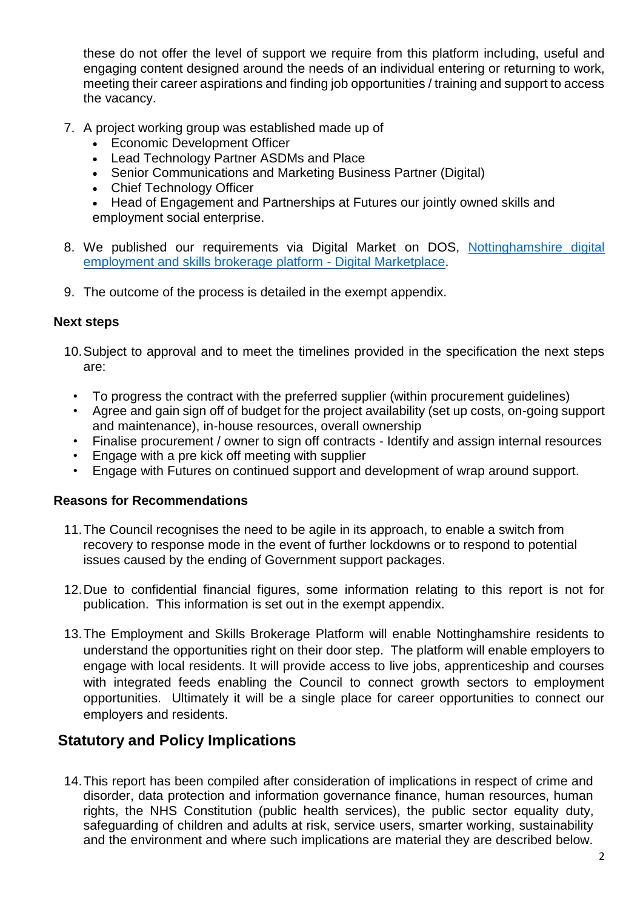these do not offer the level of support we require from this platform including, useful and engaging content designed around the needs of an individual entering or returning to work, meeting their career aspirations and finding job opportunities / training and support to access the vacancy.

- 7. A project working group was established made up of
	- Economic Development Officer
	- Lead Technology Partner ASDMs and Place
	- Senior Communications and Marketing Business Partner (Digital)
	- Chief Technology Officer
	- Head of Engagement and Partnerships at Futures our jointly owned skills and employment social enterprise.
- 8. We published our requirements via Digital Market on DOS, [Nottinghamshire digital](https://www.digitalmarketplace.service.gov.uk/digital-outcomes-and-specialists/opportunities/14730)  [employment and skills brokerage platform -](https://www.digitalmarketplace.service.gov.uk/digital-outcomes-and-specialists/opportunities/14730) Digital Marketplace.
- 9. The outcome of the process is detailed in the exempt appendix.

#### **Next steps**

- 10.Subject to approval and to meet the timelines provided in the specification the next steps are:
	- To progress the contract with the preferred supplier (within procurement guidelines)
	- Agree and gain sign off of budget for the project availability (set up costs, on-going support and maintenance), in-house resources, overall ownership
	- Finalise procurement / owner to sign off contracts Identify and assign internal resources
	- Engage with a pre kick off meeting with supplier
	- Engage with Futures on continued support and development of wrap around support.

#### **Reasons for Recommendations**

- 11.The Council recognises the need to be agile in its approach, to enable a switch from recovery to response mode in the event of further lockdowns or to respond to potential issues caused by the ending of Government support packages.
- 12.Due to confidential financial figures, some information relating to this report is not for publication. This information is set out in the exempt appendix.
- 13.The Employment and Skills Brokerage Platform will enable Nottinghamshire residents to understand the opportunities right on their door step. The platform will enable employers to engage with local residents. It will provide access to live jobs, apprenticeship and courses with integrated feeds enabling the Council to connect growth sectors to employment opportunities. Ultimately it will be a single place for career opportunities to connect our employers and residents.

### **Statutory and Policy Implications**

14.This report has been compiled after consideration of implications in respect of crime and disorder, data protection and information governance finance, human resources, human rights, the NHS Constitution (public health services), the public sector equality duty, safeguarding of children and adults at risk, service users, smarter working, sustainability and the environment and where such implications are material they are described below.